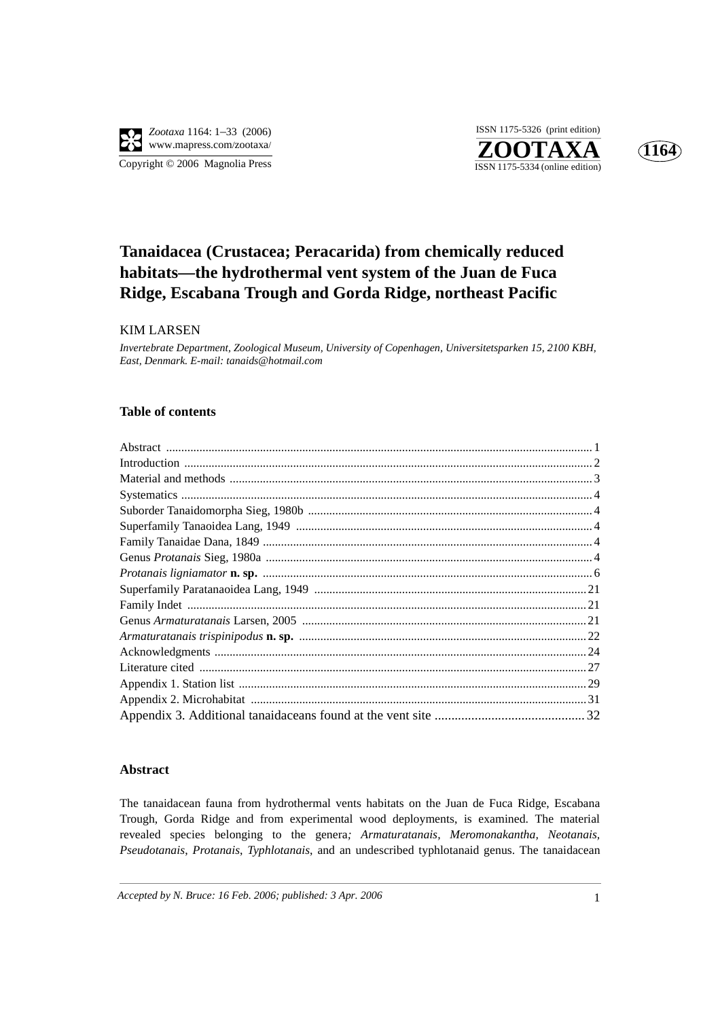



# **Tanaidacea (Crustacea; Peracarida) from chemically reduced habitats—the hydrothermal vent system of the Juan de Fuca Ridge, Escabana Trough and Gorda Ridge, northeast Pacific**

## KIM LARSEN

*Invertebrate Department, Zoological Museum, University of Copenhagen, Universitetsparken 15, 2100 KBH, East, Denmark. E-mail: tanaids@hotmail.com*

### **Table of contents**

### **Abstract**

The tanaidacean fauna from hydrothermal vents habitats on the Juan de Fuca Ridge, Escabana Trough, Gorda Ridge and from experimental wood deployments, is examined. The material revealed species belonging to the genera*; Armaturatanais, Meromonakantha, Neotanais, Pseudotanais*, *Protanais*, *Typhlotanais*, and an undescribed typhlotanaid genus. The tanaidacean